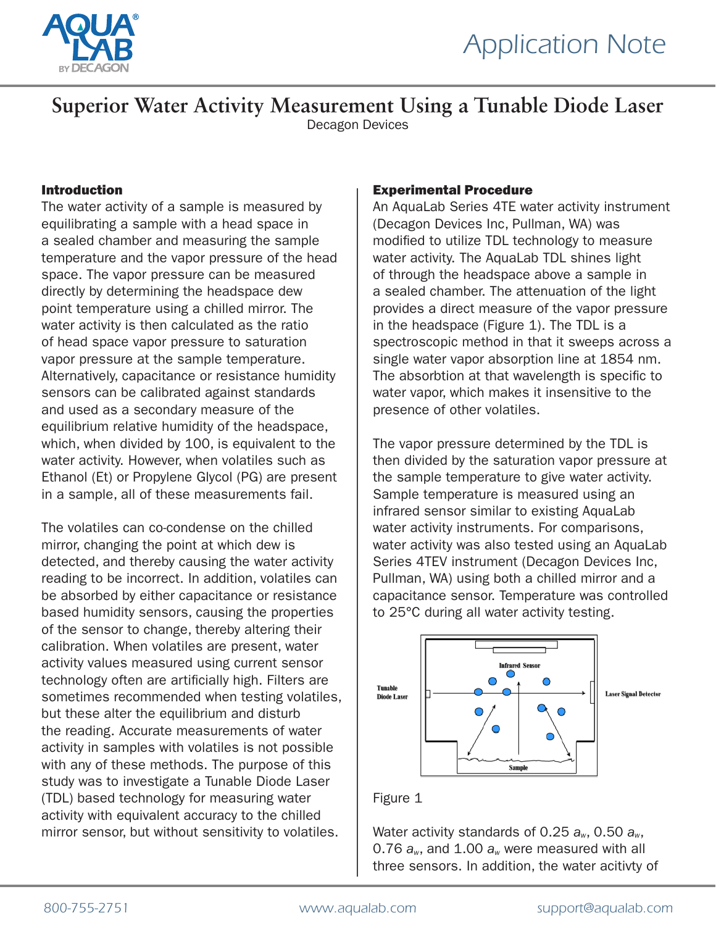

**Superior Water Activity Measurement Using a Tunable Diode Laser**

Decagon Devices

# Introduction

The water activity of a sample is measured by equilibrating a sample with a head space in a sealed chamber and measuring the sample temperature and the vapor pressure of the head space. The vapor pressure can be measured directly by determining the headspace dew point temperature using a chilled mirror. The water activity is then calculated as the ratio of head space vapor pressure to saturation vapor pressure at the sample temperature. Alternatively, capacitance or resistance humidity sensors can be calibrated against standards and used as a secondary measure of the equilibrium relative humidity of the headspace, which, when divided by 100, is equivalent to the water activity. However, when volatiles such as Ethanol (Et) or Propylene Glycol (PG) are present in a sample, all of these measurements fail.

The volatiles can co-condense on the chilled mirror, changing the point at which dew is detected, and thereby causing the water activity reading to be incorrect. In addition, volatiles can be absorbed by either capacitance or resistance based humidity sensors, causing the properties of the sensor to change, thereby altering their calibration. When volatiles are present, water activity values measured using current sensor technology often are artificially high. Filters are sometimes recommended when testing volatiles, but these alter the equilibrium and disturb the reading. Accurate measurements of water activity in samples with volatiles is not possible with any of these methods. The purpose of this study was to investigate a Tunable Diode Laser (TDL) based technology for measuring water activity with equivalent accuracy to the chilled mirror sensor, but without sensitivity to volatiles.

#### Experimental Procedure

An AquaLab Series 4TE water activity instrument (Decagon Devices Inc, Pullman, WA) was modified to utilize TDL technology to measure water activity. The AquaLab TDL shines light of through the headspace above a sample in a sealed chamber. The attenuation of the light provides a direct measure of the vapor pressure in the headspace (Figure 1). The TDL is a spectroscopic method in that it sweeps across a single water vapor absorption line at 1854 nm. The absorbtion at that wavelength is specific to water vapor, which makes it insensitive to the presence of other volatiles.

The vapor pressure determined by the TDL is then divided by the saturation vapor pressure at the sample temperature to give water activity. Sample temperature is measured using an infrared sensor similar to existing AquaLab water activity instruments. For comparisons, water activity was also tested using an AquaLab Series 4TEV instrument (Decagon Devices Inc, Pullman, WA) using both a chilled mirror and a capacitance sensor. Temperature was controlled to 25°C during all water activity testing.



## Figure 1

Water activity standards of 0.25 *aw*, 0.50 *aw*, 0.76 *aw*, and 1.00 *aw* were measured with all three sensors. In addition, the water acitivty of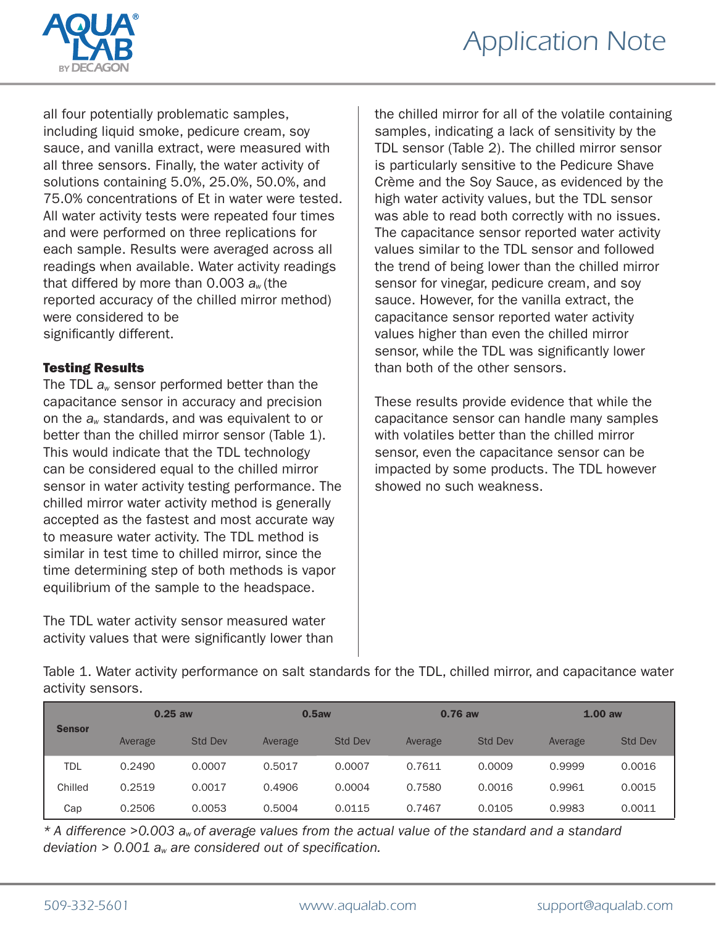



all four potentially problematic samples, including liquid smoke, pedicure cream, soy sauce, and vanilla extract, were measured with all three sensors. Finally, the water activity of solutions containing 5.0%, 25.0%, 50.0%, and 75.0% concentrations of Et in water were tested. All water activity tests were repeated four times and were performed on three replications for each sample. Results were averaged across all readings when available. Water activity readings that differed by more than 0.003 *aw* (the reported accuracy of the chilled mirror method) were considered to be significantly different.

## Testing Results

The TDL *aw* sensor performed better than the capacitance sensor in accuracy and precision on the *aw* standards, and was equivalent to or better than the chilled mirror sensor (Table 1). This would indicate that the TDL technology can be considered equal to the chilled mirror sensor in water activity testing performance. The chilled mirror water activity method is generally accepted as the fastest and most accurate way to measure water activity. The TDL method is similar in test time to chilled mirror, since the time determining step of both methods is vapor equilibrium of the sample to the headspace.

The TDL water activity sensor measured water activity values that were significantly lower than the chilled mirror for all of the volatile containing samples, indicating a lack of sensitivity by the TDL sensor (Table 2). The chilled mirror sensor is particularly sensitive to the Pedicure Shave Crème and the Soy Sauce, as evidenced by the high water activity values, but the TDL sensor was able to read both correctly with no issues. The capacitance sensor reported water activity values similar to the TDL sensor and followed the trend of being lower than the chilled mirror sensor for vinegar, pedicure cream, and soy sauce. However, for the vanilla extract, the capacitance sensor reported water activity values higher than even the chilled mirror sensor, while the TDL was significantly lower than both of the other sensors.

These results provide evidence that while the capacitance sensor can handle many samples with volatiles better than the chilled mirror sensor, even the capacitance sensor can be impacted by some products. The TDL however showed no such weakness.

Table 1. Water activity performance on salt standards for the TDL, chilled mirror, and capacitance water activity sensors.

| <b>Sensor</b> | $0.25$ aw |                | 0.5aw   |                | $0.76$ aw |                | $1.00$ aw |                |
|---------------|-----------|----------------|---------|----------------|-----------|----------------|-----------|----------------|
|               | Average   | <b>Std Dev</b> | Average | <b>Std Dev</b> | Average   | <b>Std Dev</b> | Average   | <b>Std Dev</b> |
| <b>TDL</b>    | 0.2490    | 0.0007         | 0.5017  | 0.0007         | 0.7611    | 0.0009         | 0.9999    | 0.0016         |
| Chilled       | 0.2519    | 0.0017         | 0.4906  | 0.0004         | 0.7580    | 0.0016         | 0.9961    | 0.0015         |
| Cap           | 0.2506    | 0.0053         | 0.5004  | 0.0115         | 0.7467    | 0.0105         | 0.9983    | 0.0011         |

*\* A difference >0.003 aw of average values from the actual value of the standard and a standard deviation > 0.001 aw are considered out of specification.*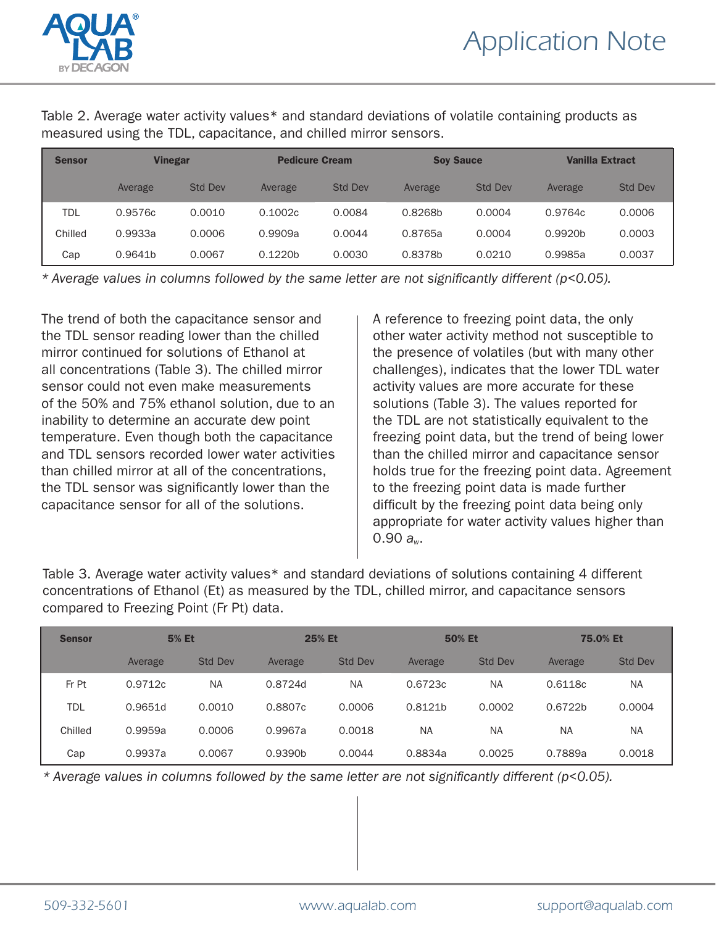

Table 2. Average water activity values\* and standard deviations of volatile containing products as measured using the TDL, capacitance, and chilled mirror sensors.

| <b>Sensor</b> | <b>Vinegar</b> |                | <b>Pedicure Cream</b> |                | <b>Soy Sauce</b> |                | <b>Vanilla Extract</b> |                |
|---------------|----------------|----------------|-----------------------|----------------|------------------|----------------|------------------------|----------------|
|               | Average        | <b>Std Dev</b> | Average               | <b>Std Dev</b> | Average          | <b>Std Dev</b> | Average                | <b>Std Dev</b> |
| <b>TDL</b>    | 0.9576c        | 0.0010         | 0.1002c               | 0.0084         | 0.8268b          | 0.0004         | 0.9764c                | 0.0006         |
| Chilled       | 0.9933a        | 0.0006         | 0.9909a               | 0.0044         | 0.8765a          | 0.0004         | 0.9920b                | 0.0003         |
| Cap           | 0.9641b        | 0.0067         | 0.1220 <sub>b</sub>   | 0.0030         | 0.8378b          | 0.0210         | 0.9985a                | 0.0037         |

*\* Average values in columns followed by the same letter are not significantly different (p<0.05).*

The trend of both the capacitance sensor and the TDL sensor reading lower than the chilled mirror continued for solutions of Ethanol at all concentrations (Table 3). The chilled mirror sensor could not even make measurements of the 50% and 75% ethanol solution, due to an inability to determine an accurate dew point temperature. Even though both the capacitance and TDL sensors recorded lower water activities than chilled mirror at all of the concentrations, the TDL sensor was significantly lower than the capacitance sensor for all of the solutions.

A reference to freezing point data, the only other water activity method not susceptible to the presence of volatiles (but with many other challenges), indicates that the lower TDL water activity values are more accurate for these solutions (Table 3). The values reported for the TDL are not statistically equivalent to the freezing point data, but the trend of being lower than the chilled mirror and capacitance sensor holds true for the freezing point data. Agreement to the freezing point data is made further difficult by the freezing point data being only appropriate for water activity values higher than 0.90 *aw*.

Table 3. Average water activity values\* and standard deviations of solutions containing 4 different concentrations of Ethanol (Et) as measured by the TDL, chilled mirror, and capacitance sensors compared to Freezing Point (Fr Pt) data.

| <b>Sensor</b> | <b>5% Et</b> |                | <b>25% Et</b>       |                | <b>50% Et</b> |                | 75.0% Et |                |
|---------------|--------------|----------------|---------------------|----------------|---------------|----------------|----------|----------------|
|               | Average      | <b>Std Dev</b> | Average             | <b>Std Dev</b> | Average       | <b>Std Dev</b> | Average  | <b>Std Dev</b> |
| Fr Pt         | 0.9712c      | <b>NA</b>      | 0.8724d             | <b>NA</b>      | 0.6723c       | <b>NA</b>      | 0.6118c  | <b>NA</b>      |
| <b>TDL</b>    | 0.9651d      | 0.0010         | 0.8807c             | 0.0006         | 0.8121b       | 0.0002         | 0.6722b  | 0.0004         |
| Chilled       | 0.9959a      | 0.0006         | 0.9967a             | 0.0018         | <b>NA</b>     | <b>NA</b>      | NA       | <b>NA</b>      |
| Cap           | 0.9937a      | 0.0067         | 0.9390 <sub>b</sub> | 0.0044         | 0.8834a       | 0.0025         | 0.7889a  | 0.0018         |

*\* Average values in columns followed by the same letter are not significantly different (p<0.05).*